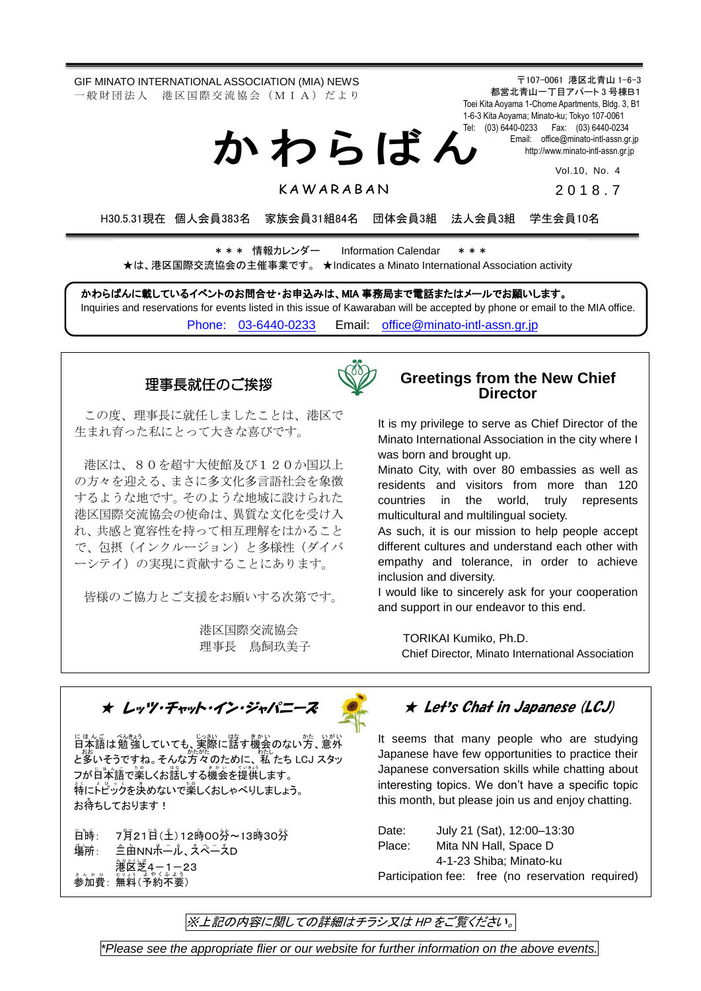GIF MINATO INTERNATIONAL ASSOCIATION (MIA) NEWS 一 般 財 団 法 人 港 区 国 際 交 流 協 会 (M I A) だ よ り

か わ ら ば ん

〒107-0061 港区北青山 1-6-3 都営北青山一丁目アパート 3 号棟B1 Toei Kita Aoyama 1-Chome Apartments, Bldg. 3, B1 1-6-3 Kita Aoyama; Minato-ku; Tokyo 107-0061 Tel: (03) 6440-0233 Fax: (03) 6440-0234 Email: [office@minato-intl-assn.gr.jp](mailto:office@minato-intl-assn.gr.jp) [http://www.minato-intl-assn.gr.jp](http://www.minato-intl-assn.gr.jp/)

Vol.10, No. 4

**KAWARABAN** 

201 8 . 7

H30.5.31現在 個人会員383名 家族会員31組84名 団体会員3組 法人会員3組 学生会員10名

\* \* \* 情報カレンダー Information Calendar \* \* \* ★は、港区国際交流協会の主催事業です。 ★Indicates a Minato International Association activity

かわらばんに載しているイベントのお問合せ・お申込みは、MIA 事務局まで電話またはメールでお願いします。 Inquiries and reservations for events listed in this issue of Kawaraban will be accepted by phone or email to the MIA office. [Phone: 03-6440-0233](mailto:Phone:%20%2003-6440-0233) Email: [office@minato-intl-assn.gr.jp](mailto:office@minato-intl-assn.gr.jp)

## 理事長就任のご挨拶



この度、理事長に就任しましたことは、港区で 生まれ育った私にとって大きな喜びです。

 で、包摂(インクルージョン)と多様性(ダイバ 港区は、80を超す大使館及び120か国以上 の方々を迎える、まさに多文化多言語社会を象徴 するような地です。そのような地域に設けられた 港区国際交流協会の使命は、異質な文化を受け入 れ、共感と寛容性を持って相互理解をはかること ーシテイ)の実現に貢献することにあります。

皆様のご協力とご支援をお願いする次第です。

港区国際交流協会 理事長 鳥飼玖美子

## **Greetings from the New Chief Director**

It is my privilege to serve as Chief Director of the Minato International Association in the city where I was born and brought up.

Minato City, with over 80 embassies as well as residents and visitors from more than 120 countries in the world, truly represents multicultural and multilingual society.

As such, it is our mission to help people accept different cultures and understand each other with empathy and tolerance, in order to achieve inclusion and diversity.

I would like to sincerely ask for your cooperation and support in our endeavor to this end.

TORIKAI Kumiko, Ph.D. Chief Director, Minato International Association

★ レッツ・チャット・イン・ジャパニーズ

にほんご べんきょう<br>日本語は勉強していても、実際に話す機会のない方、意外 と多いそうですね。そんな方々のために、 私 たち LCJ スタッ フが日本語で薬しくお話しする機会を提供します。 特にトピックを決めないで簗しくおしゃべりしましょう。 お待ちしております!

**日時**: : 7月21日(土)12時00芬~13時30芬 塩)<br>味・ : 三亩NN尗一ル、スペースD **篝 g ½ ≠ 4 − 1 − 23**  $\frac{1}{2}$ 参加費:無料(予約不要)

# ★ Let's Chat in Japanese (LCJ)

It seems that many people who are studying Japanese have few opportunities to practice their Japanese conversation skills while chatting about interesting topics. We don't have a specific topic this month, but please join us and enjoy chatting.

Date: July 21 (Sat), 12:00–13:30 Place: Mita NN Hall, Space D 4-1-23 Shiba; Minato-ku Participation fee: free (no reservation required)

※上記の内容に関しての詳細はチラシ又は HP をご覧ください。

*\*Please see the appropriate flier or our website for further information on the above events.*